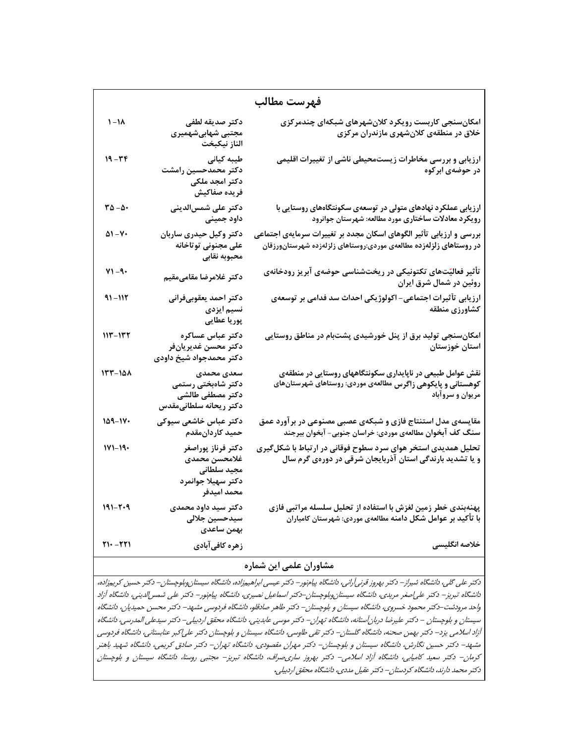| فهرست مطالب                   |                                                                                         |                                                                                                                                               |  |
|-------------------------------|-----------------------------------------------------------------------------------------|-----------------------------------------------------------------------------------------------------------------------------------------------|--|
| $\lambda$ /                   | دكتر صديقه لطفى<br>مجتبی شهابیشهمیری<br>الناز نيكبخت                                    | امکانسنجی کاربست رویکرد کلانشهرهای شبکهای چندمرکزی<br>خلاق در منطقهی کلانشهری مازندران مرکزی                                                  |  |
| $19 - \mathcal{r}\mathcal{r}$ | طیبه کیانی<br>دكتر محمدحسين رامشت<br>دکتر امجد ملکی<br>فريده صفاكيش                     | ارزیابی و بررسی مخاطرات زیستمحیطی ناشی از تغییرات اقلیمی<br>در حوضهی ابر کوه                                                                  |  |
| $ra - a$                      | دکتر علی شمسالدینی<br>داود جمينى                                                        | ارزیابی عملکرد نهادهای متولی در توسعهی سکونتگاههای روستایی با<br>رویکرد معادلات ساختاری مورد مطالعه: شهرستان جوانرود                          |  |
| $\Delta$ ۱ - ۷۰               | دکتر وکیل حیدری ساربان<br>على مجنونى توتاخانه<br>محبوبه نقابى                           | بررسی و ارزیابی تأثیر الگوهای اسکان مجدد بر تغییرات سرمایهی اجتماعی<br>در روستاهای زلزلهزده مطالعهی موردی:روستاهای زلزلهزده شهرستانورزقان     |  |
| $Y1 - 9$                      | دكتر غلامرضا مقامىمقيم                                                                  | تأثیر فعالیّتهای تکتونیکی در ریختشناسی حوضهی آبریز رودخانهی<br>روئین در شمال شرق ایران                                                        |  |
| $91 - 117$                    | دكتر احمد يعقوبىفرانى<br>نسیم ایزدی<br>پوريا عطايي                                      | ارزیابی تأثیرات اجتماعی- اکولوژیکی احداث سد فدامی بر توسعهی<br>كشاورزي منطقه                                                                  |  |
| 113-132                       | دكتر عباس عساكره<br>دكتر محسن غديريانفر<br>دکتر محمدجواد شیخ داودی                      | امکانسنجی تولید برق از پنل خورشیدی پشتبام در مناطق روستایی<br>استان خوزستان                                                                   |  |
| $157 - 101$                   | سعدى محمدى<br>دکتر شاهبختی رستمی<br>دكتر مصطفى طالشى<br>دكتر ريحانه سلطانىمقدس          | نقش عوامل طبیعی در ناپایداری سکونتگاههای روستایی در منطقهی<br>کوهستانی و پایکوهی زاگرس مطالعهی موردی: روستاهای شهرستانهای<br>مريوان و سروآباد |  |
| 159-170                       | دکتر عباس خاشعی سیوکی<br>حميد كاردانءقدم                                                | مقایسهی مدل استنتاج فازی و شبکهی عصبی مصنوعی در بر آورد عمق<br>سنگ کف آبخوان مطالعهی موردی: خراسان جنوبی- آبخوان بیرجند                       |  |
| $111 - 19.$                   | دكتر فرناز پوراصغر<br>غلامحسن محمدى<br>مجيد سلطاني<br>دكتر سهيلا جوانمرد<br>محمد اميدفر | تحلیل همدیدی استخر هوای سرد سطوح فوقانی در ارتباط با شکل گیری<br>و یا تشدید بارندگی استان آذربایجان شرقی در دورهی گرم سال                     |  |
| $191 - 7 - 9$                 | دکتر سید داود محمدی<br>سيدحسين جلالى<br>بهمن ساعدى                                      | پهنهبندی خطر زمین لغزش با استفاده از تحلیل سلسله مراتبی فازی<br>با تأکید بر عوامل شکل دامنه مطالعهی موردی: شهرستان کامیاران                   |  |
| $Y1 - YY1$                    | زهره كافيآبادي                                                                          | خلاصه انگلیسی                                                                                                                                 |  |

## **مشاوران علمي اين شماره**

دكتر علي گلي، دانشگاه شيراز**-** دكتر بهروز قرنيآراني، دانشگاه پيامنور**-** دكتر عيسي ابراهيمزاده، دانشگاه سيستانوبلوچستان**-** دكتر حسين كريمزاده، دانشگاه تبريز**-** دكتر علياصغر مريدي، دانشگاه سيستانوبلوچستان**-** دكتر اسماعيل نصيري، دانشگاه پيامنور**-** دكتر علي شمسالديني، دانشگاه آزاد واحد مرودشت**-** دكتر محمود خسروي، دانشگاه سيستان <sup>و</sup> بلوچستان**-** دكتر طاهر صادقلو، دانشگاه فردوسي مشهد**-** دكتر محسن حميديان، دانشگاه سيستان <sup>و</sup> بلوچستان **-** دكتر عليرضا دربانآستانه، دانشگاه تهران**-** دكتر موسي عابديني، دانشگاه محقق اردبيلي**-** دكتر سيدعلي المدرسي، دانشگاه آزاد اسلامي يزد**-** دكتر بهمن صحنه، دانشگاه گلستان**-** دكتر تقي طاوسي، دانشگاه سيستان <sup>و</sup> بلوچستان دكتر علياكبر عنابستاني، دانشگاه فردوسي مشهد**-** دكتر حسين نگارش، دانشگاه سيستان <sup>و</sup> بلوچستان**-** دكتر مهران مقصودي، دانشگاه تهران**-** دكتر صادق كريمي، دانشگاه شهيد باهنر كرمان**-** دكتر سعيد كاميابي، دانشگاه آزاد اسلامي**-** دكتر بهروز ساريصراف، دانشگاه تبريز**-** مجتبي روستا، دانشگاه سيستان <sup>و</sup> بلوچستان دكتر محمد دارند، دانشگاه كردستان**-** دكتر عقيل مددي، دانشگاه محقق اردبيلي**.**